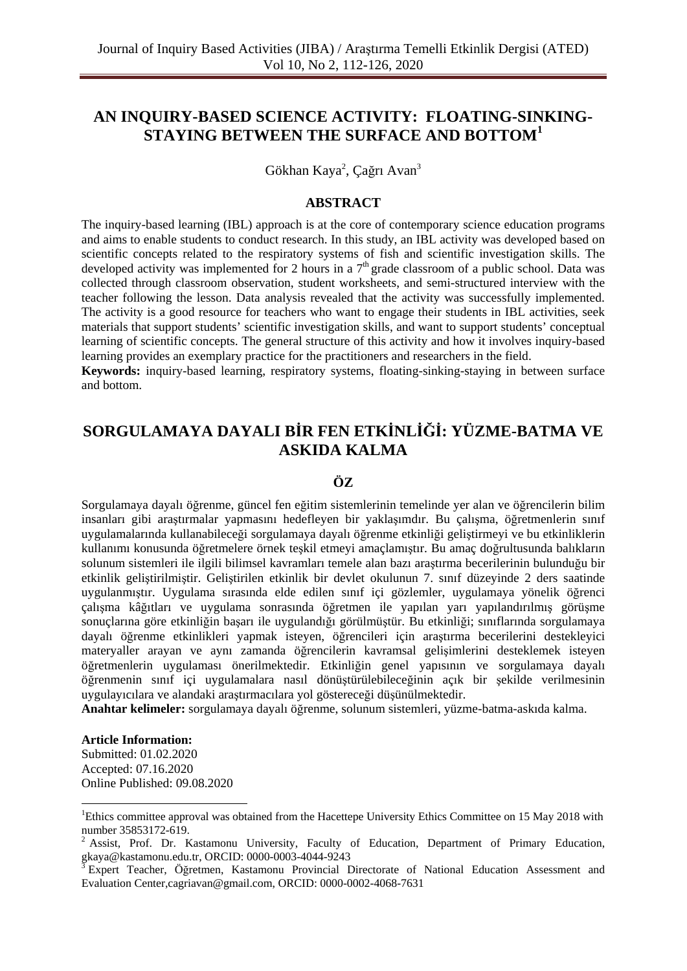# **AN INQUIRY-BASED SCIENCE ACTIVITY: FLOATING-SINKING-STAYING BETWEEN THE SURFACE AND BOTTOM<sup>1</sup>**

Gökhan Kaya<sup>2</sup>, Çağrı Avan<sup>3</sup>

#### **ABSTRACT**

The inquiry-based learning (IBL) approach is at the core of contemporary science education programs and aims to enable students to conduct research. In this study, an IBL activity was developed based on scientific concepts related to the respiratory systems of fish and scientific investigation skills. The developed activity was implemented for 2 hours in a  $7<sup>th</sup>$  grade classroom of a public school. Data was collected through classroom observation, student worksheets, and semi-structured interview with the teacher following the lesson. Data analysis revealed that the activity was successfully implemented. The activity is a good resource for teachers who want to engage their students in IBL activities, seek materials that support students' scientific investigation skills, and want to support students' conceptual learning of scientific concepts. The general structure of this activity and how it involves inquiry-based learning provides an exemplary practice for the practitioners and researchers in the field.

**Keywords:** inquiry-based learning, respiratory systems, floating-sinking-staying in between surface and bottom.

# **SORGULAMAYA DAYALI BİR FEN ETKİNLİĞİ: YÜZME-BATMA VE ASKIDA KALMA**

#### **ÖZ**

Sorgulamaya dayalı öğrenme, güncel fen eğitim sistemlerinin temelinde yer alan ve öğrencilerin bilim insanları gibi araştırmalar yapmasını hedefleyen bir yaklaşımdır. Bu çalışma, öğretmenlerin sınıf uygulamalarında kullanabileceği sorgulamaya dayalı öğrenme etkinliği geliştirmeyi ve bu etkinliklerin kullanımı konusunda öğretmelere örnek teşkil etmeyi amaçlamıştır. Bu amaç doğrultusunda balıkların solunum sistemleri ile ilgili bilimsel kavramları temele alan bazı araştırma becerilerinin bulunduğu bir etkinlik geliştirilmiştir. Geliştirilen etkinlik bir devlet okulunun 7. sınıf düzeyinde 2 ders saatinde uygulanmıştır. Uygulama sırasında elde edilen sınıf içi gözlemler, uygulamaya yönelik öğrenci çalışma kâğıtları ve uygulama sonrasında öğretmen ile yapılan yarı yapılandırılmış görüşme sonuçlarına göre etkinliğin başarı ile uygulandığı görülmüştür. Bu etkinliği; sınıflarında sorgulamaya dayalı öğrenme etkinlikleri yapmak isteyen, öğrencileri için araştırma becerilerini destekleyici materyaller arayan ve aynı zamanda öğrencilerin kavramsal gelişimlerini desteklemek isteyen öğretmenlerin uygulaması önerilmektedir. Etkinliğin genel yapısının ve sorgulamaya dayalı öğrenmenin sınıf içi uygulamalara nasıl dönüştürülebileceğinin açık bir şekilde verilmesinin uygulayıcılara ve alandaki araştırmacılara yol göstereceği düşünülmektedir.

**Anahtar kelimeler:** sorgulamaya dayalı öğrenme, solunum sistemleri, yüzme-batma-askıda kalma.

#### **Article Information:**

 $\overline{a}$ 

Submitted: 01.02.2020 Accepted: 07.16.2020 Online Published: 09.08.2020

<sup>&</sup>lt;sup>1</sup>Ethics committee approval was obtained from the Hacettepe University Ethics Committee on 15 May 2018 with number 35853172-619.

<sup>&</sup>lt;sup>2</sup> Assist, Prof. Dr. Kastamonu University, Faculty of Education, Department of Primary Education, gkaya@kastamonu.edu.tr, ORCID: 0000-0003-4044-9243

<sup>3</sup> Expert Teacher, Öğretmen, Kastamonu Provincial Directorate of National Education Assessment and Evaluation Center,cagriavan@gmail.com, ORCID: 0000-0002-4068-7631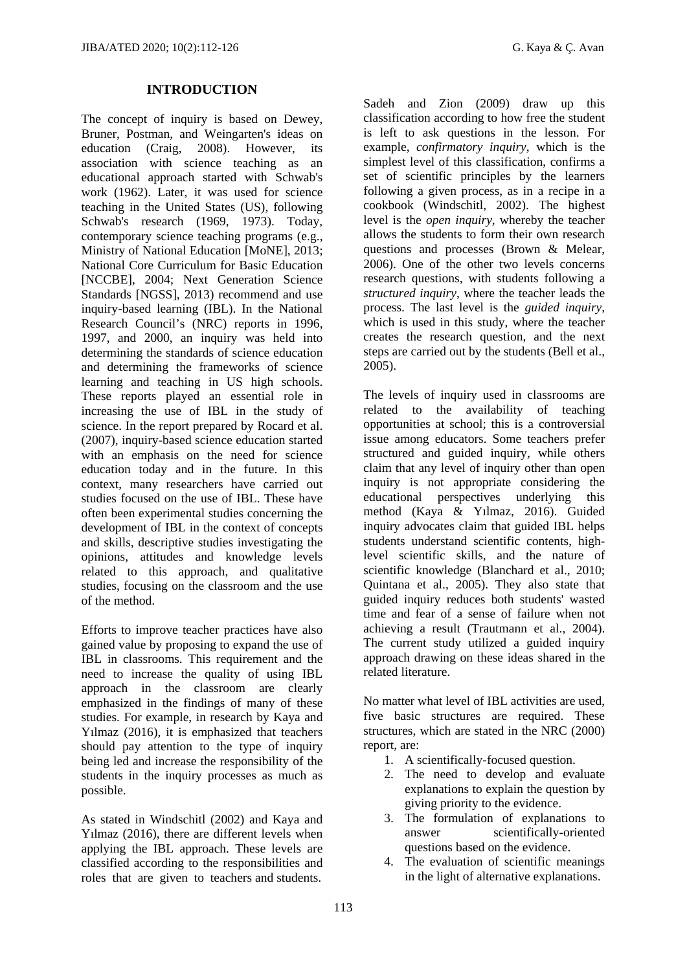## **INTRODUCTION**

The concept of inquiry is based on Dewey, Bruner, Postman, and Weingarten's ideas on education (Craig, 2008). However, its association with science teaching as an educational approach started with Schwab's work (1962). Later, it was used for science teaching in the United States (US), following Schwab's research (1969, 1973). Today, contemporary science teaching programs (e.g., Ministry of National Education [MoNE], 2013; National Core Curriculum for Basic Education [NCCBE], 2004; Next Generation Science Standards [NGSS], 2013) recommend and use inquiry-based learning (IBL). In the National Research Council's (NRC) reports in 1996, 1997, and 2000, an inquiry was held into determining the standards of science education and determining the frameworks of science learning and teaching in US high schools. These reports played an essential role in increasing the use of IBL in the study of science. In the report prepared by Rocard et al. (2007), inquiry-based science education started with an emphasis on the need for science education today and in the future. In this context, many researchers have carried out studies focused on the use of IBL. These have often been experimental studies concerning the development of IBL in the context of concepts and skills, descriptive studies investigating the opinions, attitudes and knowledge levels related to this approach, and qualitative studies, focusing on the classroom and the use of the method.

Efforts to improve teacher practices have also gained value by proposing to expand the use of IBL in classrooms. This requirement and the need to increase the quality of using IBL approach in the classroom are clearly emphasized in the findings of many of these studies. For example, in research by Kaya and Yılmaz (2016), it is emphasized that teachers should pay attention to the type of inquiry being led and increase the responsibility of the students in the inquiry processes as much as possible.

As stated in Windschitl (2002) and Kaya and Yılmaz (2016), there are different levels when applying the IBL approach. These levels are classified according to the responsibilities and roles that are given to teachers and students.

Sadeh and Zion (2009) draw up this classification according to how free the student is left to ask questions in the lesson. For example, *confirmatory inquiry*, which is the simplest level of this classification, confirms a set of scientific principles by the learners following a given process, as in a recipe in a cookbook (Windschitl, 2002). The highest level is the *open inquiry*, whereby the teacher allows the students to form their own research questions and processes (Brown & Melear, 2006). One of the other two levels concerns research questions, with students following a *structured inquiry*, where the teacher leads the process. The last level is the *guided inquiry*, which is used in this study, where the teacher creates the research question, and the next steps are carried out by the students (Bell et al., 2005).

The levels of inquiry used in classrooms are related to the availability of teaching opportunities at school; this is a controversial issue among educators. Some teachers prefer structured and guided inquiry, while others claim that any level of inquiry other than open inquiry is not appropriate considering the educational perspectives underlying this method (Kaya & Yılmaz, 2016). Guided inquiry advocates claim that guided IBL helps students understand scientific contents, highlevel scientific skills, and the nature of scientific knowledge (Blanchard et al., 2010; Quintana et al., 2005). They also state that guided inquiry reduces both students' wasted time and fear of a sense of failure when not achieving a result (Trautmann et al., 2004). The current study utilized a guided inquiry approach drawing on these ideas shared in the related literature.

No matter what level of IBL activities are used, five basic structures are required. These structures, which are stated in the NRC (2000) report, are:

- 1. A scientifically-focused question.
- 2. The need to develop and evaluate explanations to explain the question by giving priority to the evidence.
- 3. The formulation of explanations to answer scientifically-oriented questions based on the evidence.
- 4. The evaluation of scientific meanings in the light of alternative explanations.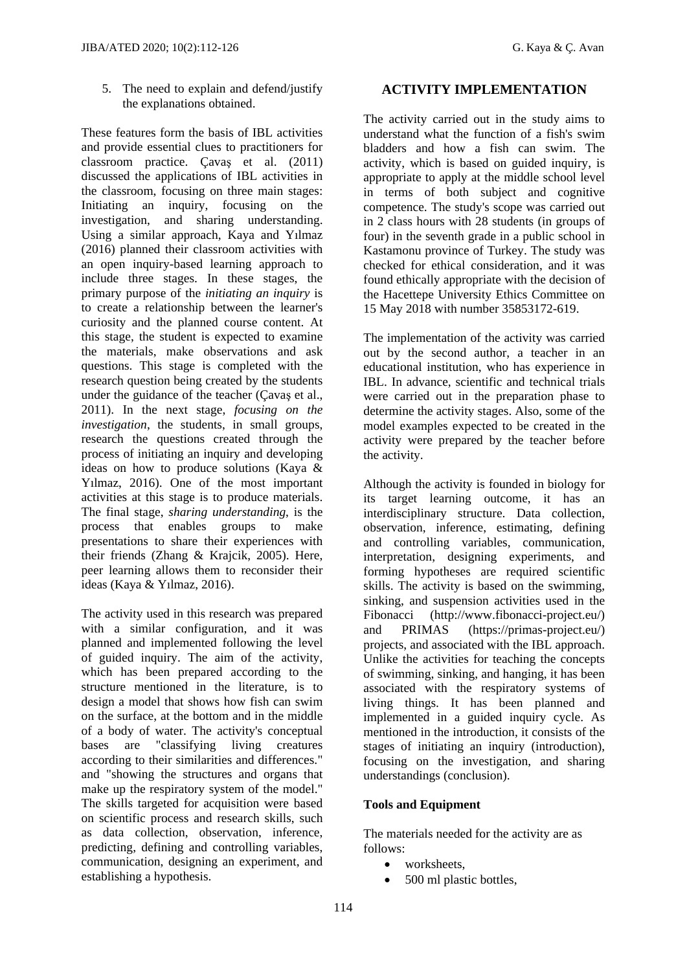5. The need to explain and defend/justify the explanations obtained.

These features form the basis of IBL activities and provide essential clues to practitioners for classroom practice. Çavaş et al. (2011) discussed the applications of IBL activities in the classroom, focusing on three main stages: Initiating an inquiry, focusing on the investigation, and sharing understanding. Using a similar approach, Kaya and Yılmaz (2016) planned their classroom activities with an open inquiry-based learning approach to include three stages. In these stages, the primary purpose of the *initiating an inquiry* is to create a relationship between the learner's curiosity and the planned course content. At this stage, the student is expected to examine the materials, make observations and ask questions. This stage is completed with the research question being created by the students under the guidance of the teacher (Çavaş et al., 2011). In the next stage, *focusing on the investigation*, the students, in small groups, research the questions created through the process of initiating an inquiry and developing ideas on how to produce solutions (Kaya & Yılmaz, 2016). One of the most important activities at this stage is to produce materials. The final stage, *sharing understanding*, is the process that enables groups to make presentations to share their experiences with their friends (Zhang & Krajcik, 2005). Here, peer learning allows them to reconsider their ideas (Kaya & Yılmaz, 2016).

The activity used in this research was prepared with a similar configuration, and it was planned and implemented following the level of guided inquiry. The aim of the activity, which has been prepared according to the structure mentioned in the literature, is to design a model that shows how fish can swim on the surface, at the bottom and in the middle of a body of water. The activity's conceptual bases are "classifying living creatures according to their similarities and differences." and "showing the structures and organs that make up the respiratory system of the model." The skills targeted for acquisition were based on scientific process and research skills, such as data collection, observation, inference, predicting, defining and controlling variables, communication, designing an experiment, and establishing a hypothesis.

## **ACTIVITY IMPLEMENTATION**

The activity carried out in the study aims to understand what the function of a fish's swim bladders and how a fish can swim. The activity, which is based on guided inquiry, is appropriate to apply at the middle school level in terms of both subject and cognitive competence. The study's scope was carried out in 2 class hours with 28 students (in groups of four) in the seventh grade in a public school in Kastamonu province of Turkey. The study was checked for ethical consideration, and it was found ethically appropriate with the decision of the Hacettepe University Ethics Committee on 15 May 2018 with number 35853172-619.

The implementation of the activity was carried out by the second author, a teacher in an educational institution, who has experience in IBL. In advance, scientific and technical trials were carried out in the preparation phase to determine the activity stages. Also, some of the model examples expected to be created in the activity were prepared by the teacher before the activity.

Although the activity is founded in biology for its target learning outcome, it has an interdisciplinary structure. Data collection, observation, inference, estimating, defining and controlling variables, communication, interpretation, designing experiments, and forming hypotheses are required scientific skills. The activity is based on the swimming, sinking, and suspension activities used in the Fibonacci (http://www.fibonacci-project.eu/) and PRIMAS (https://primas-project.eu/) projects, and associated with the IBL approach. Unlike the activities for teaching the concepts of swimming, sinking, and hanging, it has been associated with the respiratory systems of living things. It has been planned and implemented in a guided inquiry cycle. As mentioned in the introduction, it consists of the stages of initiating an inquiry (introduction), focusing on the investigation, and sharing understandings (conclusion).

## **Tools and Equipment**

The materials needed for the activity are as follows:

- worksheets,
- 500 ml plastic bottles,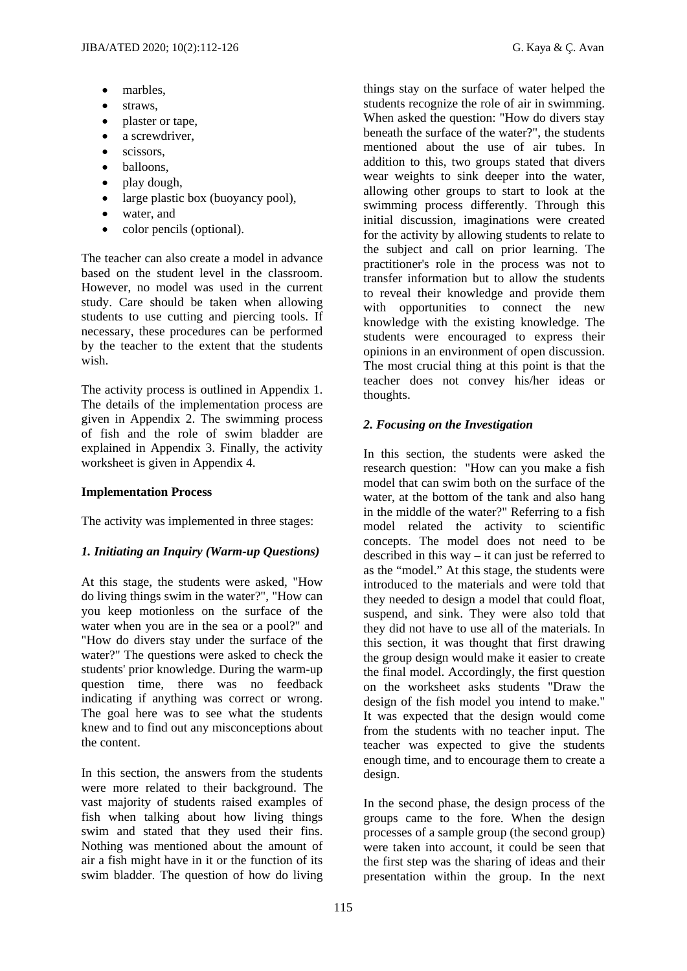- marbles,
- straws,
- plaster or tape,
- a screwdriver.
- $\bullet$  scissors.
- balloons.
- play dough,
- large plastic box (buoyancy pool),
- water, and
- color pencils (optional).

The teacher can also create a model in advance based on the student level in the classroom. However, no model was used in the current study. Care should be taken when allowing students to use cutting and piercing tools. If necessary, these procedures can be performed by the teacher to the extent that the students wish.

The activity process is outlined in Appendix 1. The details of the implementation process are given in Appendix 2. The swimming process of fish and the role of swim bladder are explained in Appendix 3. Finally, the activity worksheet is given in Appendix 4.

## **Implementation Process**

The activity was implemented in three stages:

## *1. Initiating an Inquiry (Warm-up Questions)*

At this stage, the students were asked, "How do living things swim in the water?", "How can you keep motionless on the surface of the water when you are in the sea or a pool?" and "How do divers stay under the surface of the water?" The questions were asked to check the students' prior knowledge. During the warm-up question time, there was no feedback indicating if anything was correct or wrong. The goal here was to see what the students knew and to find out any misconceptions about the content.

In this section, the answers from the students were more related to their background. The vast majority of students raised examples of fish when talking about how living things swim and stated that they used their fins. Nothing was mentioned about the amount of air a fish might have in it or the function of its swim bladder. The question of how do living

things stay on the surface of water helped the students recognize the role of air in swimming. When asked the question: "How do divers stay beneath the surface of the water?", the students mentioned about the use of air tubes. In addition to this, two groups stated that divers wear weights to sink deeper into the water, allowing other groups to start to look at the swimming process differently. Through this initial discussion, imaginations were created for the activity by allowing students to relate to the subject and call on prior learning. The practitioner's role in the process was not to transfer information but to allow the students to reveal their knowledge and provide them with opportunities to connect the new knowledge with the existing knowledge. The students were encouraged to express their opinions in an environment of open discussion. The most crucial thing at this point is that the teacher does not convey his/her ideas or thoughts.

## *2. Focusing on the Investigation*

In this section, the students were asked the research question: "How can you make a fish model that can swim both on the surface of the water, at the bottom of the tank and also hang in the middle of the water?" Referring to a fish model related the activity to scientific concepts. The model does not need to be described in this way – it can just be referred to as the "model." At this stage, the students were introduced to the materials and were told that they needed to design a model that could float, suspend, and sink. They were also told that they did not have to use all of the materials. In this section, it was thought that first drawing the group design would make it easier to create the final model. Accordingly, the first question on the worksheet asks students "Draw the design of the fish model you intend to make." It was expected that the design would come from the students with no teacher input. The teacher was expected to give the students enough time, and to encourage them to create a design.

In the second phase, the design process of the groups came to the fore. When the design processes of a sample group (the second group) were taken into account, it could be seen that the first step was the sharing of ideas and their presentation within the group. In the next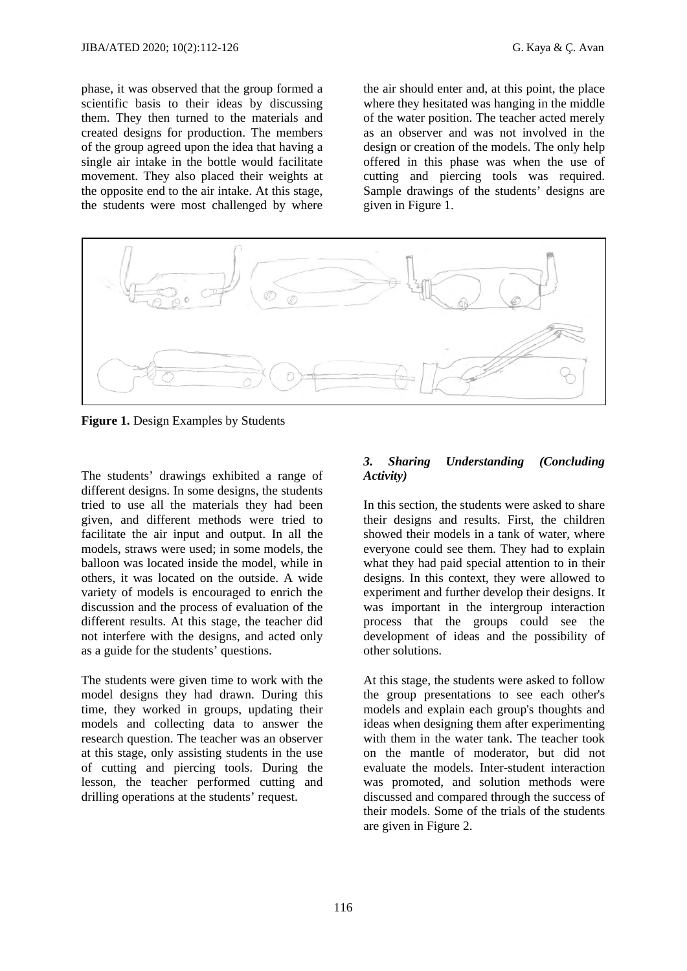phase, it was observed that the group formed a scientific basis to their ideas by discussing them. They then turned to the materials and created designs for production. The members of the group agreed upon the idea that having a single air intake in the bottle would facilitate movement. They also placed their weights at the opposite end to the air intake. At this stage, the students were most challenged by where

the air should enter and, at this point, the place where they hesitated was hanging in the middle of the water position. The teacher acted merely as an observer and was not involved in the design or creation of the models. The only help offered in this phase was when the use of cutting and piercing tools was required. Sample drawings of the students' designs are given in Figure 1.



**Figure 1.** Design Examples by Students

The students' drawings exhibited a range of different designs. In some designs, the students tried to use all the materials they had been given, and different methods were tried to facilitate the air input and output. In all the models, straws were used; in some models, the balloon was located inside the model, while in others, it was located on the outside. A wide variety of models is encouraged to enrich the discussion and the process of evaluation of the different results. At this stage, the teacher did not interfere with the designs, and acted only as a guide for the students' questions.

The students were given time to work with the model designs they had drawn. During this time, they worked in groups, updating their models and collecting data to answer the research question. The teacher was an observer at this stage, only assisting students in the use of cutting and piercing tools. During the lesson, the teacher performed cutting and drilling operations at the students' request.

#### *3. Sharing Understanding (Concluding Activity)*

In this section, the students were asked to share their designs and results. First, the children showed their models in a tank of water, where everyone could see them. They had to explain what they had paid special attention to in their designs. In this context, they were allowed to experiment and further develop their designs. It was important in the intergroup interaction process that the groups could see the development of ideas and the possibility of other solutions.

At this stage, the students were asked to follow the group presentations to see each other's models and explain each group's thoughts and ideas when designing them after experimenting with them in the water tank. The teacher took on the mantle of moderator, but did not evaluate the models. Inter-student interaction was promoted, and solution methods were discussed and compared through the success of their models. Some of the trials of the students are given in Figure 2.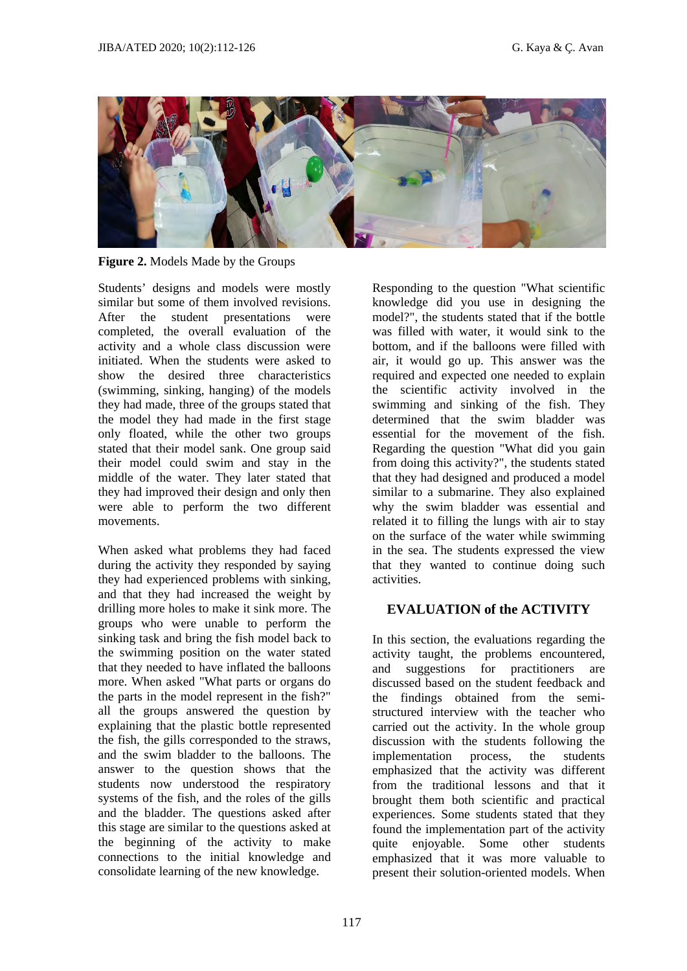

**Figure 2.** Models Made by the Groups

Students' designs and models were mostly similar but some of them involved revisions. After the student presentations were completed, the overall evaluation of the activity and a whole class discussion were initiated. When the students were asked to show the desired three characteristics (swimming, sinking, hanging) of the models they had made, three of the groups stated that the model they had made in the first stage only floated, while the other two groups stated that their model sank. One group said their model could swim and stay in the middle of the water. They later stated that they had improved their design and only then were able to perform the two different movements.

When asked what problems they had faced during the activity they responded by saying they had experienced problems with sinking, and that they had increased the weight by drilling more holes to make it sink more. The groups who were unable to perform the sinking task and bring the fish model back to the swimming position on the water stated that they needed to have inflated the balloons more. When asked "What parts or organs do the parts in the model represent in the fish?" all the groups answered the question by explaining that the plastic bottle represented the fish, the gills corresponded to the straws, and the swim bladder to the balloons. The answer to the question shows that the students now understood the respiratory systems of the fish, and the roles of the gills and the bladder. The questions asked after this stage are similar to the questions asked at the beginning of the activity to make connections to the initial knowledge and consolidate learning of the new knowledge.

Responding to the question "What scientific knowledge did you use in designing the model?", the students stated that if the bottle was filled with water, it would sink to the bottom, and if the balloons were filled with air, it would go up. This answer was the required and expected one needed to explain the scientific activity involved in the swimming and sinking of the fish. They determined that the swim bladder was essential for the movement of the fish. Regarding the question "What did you gain from doing this activity?", the students stated that they had designed and produced a model similar to a submarine. They also explained why the swim bladder was essential and related it to filling the lungs with air to stay on the surface of the water while swimming in the sea. The students expressed the view that they wanted to continue doing such activities.

## **EVALUATION of the ACTIVITY**

In this section, the evaluations regarding the activity taught, the problems encountered, and suggestions for practitioners are discussed based on the student feedback and the findings obtained from the semistructured interview with the teacher who carried out the activity. In the whole group discussion with the students following the implementation process, the students emphasized that the activity was different from the traditional lessons and that it brought them both scientific and practical experiences. Some students stated that they found the implementation part of the activity quite enjoyable. Some other students emphasized that it was more valuable to present their solution-oriented models. When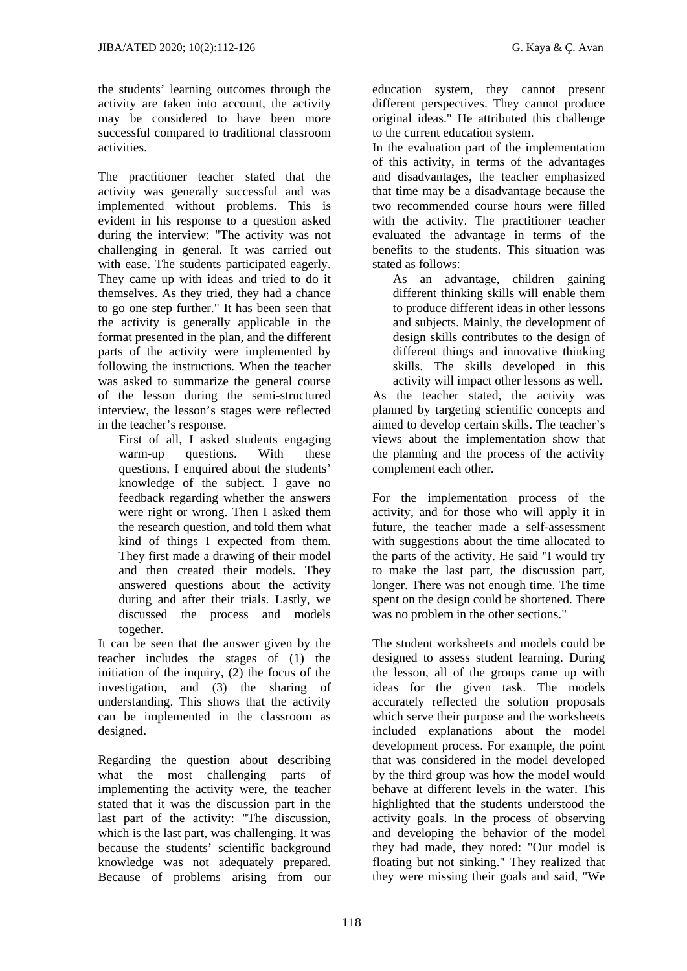the students' learning outcomes through the activity are taken into account, the activity may be considered to have been more successful compared to traditional classroom activities.

The practitioner teacher stated that the activity was generally successful and was implemented without problems. This is evident in his response to a question asked during the interview: "The activity was not challenging in general. It was carried out with ease. The students participated eagerly. They came up with ideas and tried to do it themselves. As they tried, they had a chance to go one step further." It has been seen that the activity is generally applicable in the format presented in the plan, and the different parts of the activity were implemented by following the instructions. When the teacher was asked to summarize the general course of the lesson during the semi-structured interview, the lesson's stages were reflected in the teacher's response.

First of all, I asked students engaging warm-up questions. With these questions, I enquired about the students' knowledge of the subject. I gave no feedback regarding whether the answers were right or wrong. Then I asked them the research question, and told them what kind of things I expected from them. They first made a drawing of their model and then created their models. They answered questions about the activity during and after their trials. Lastly, we discussed the process and models together.

It can be seen that the answer given by the teacher includes the stages of (1) the initiation of the inquiry, (2) the focus of the investigation, and (3) the sharing of understanding. This shows that the activity can be implemented in the classroom as designed.

Regarding the question about describing what the most challenging parts of implementing the activity were, the teacher stated that it was the discussion part in the last part of the activity: "The discussion, which is the last part, was challenging. It was because the students' scientific background knowledge was not adequately prepared. Because of problems arising from our

education system, they cannot present different perspectives. They cannot produce original ideas." He attributed this challenge to the current education system.

In the evaluation part of the implementation of this activity, in terms of the advantages and disadvantages, the teacher emphasized that time may be a disadvantage because the two recommended course hours were filled with the activity. The practitioner teacher evaluated the advantage in terms of the benefits to the students. This situation was stated as follows:

As an advantage, children gaining different thinking skills will enable them to produce different ideas in other lessons and subjects. Mainly, the development of design skills contributes to the design of different things and innovative thinking skills. The skills developed in this activity will impact other lessons as well. As the teacher stated, the activity was planned by targeting scientific concepts and aimed to develop certain skills. The teacher's views about the implementation show that the planning and the process of the activity complement each other.

For the implementation process of the activity, and for those who will apply it in future, the teacher made a self-assessment with suggestions about the time allocated to the parts of the activity. He said "I would try to make the last part, the discussion part, longer. There was not enough time. The time spent on the design could be shortened. There was no problem in the other sections."

The student worksheets and models could be designed to assess student learning. During the lesson, all of the groups came up with ideas for the given task. The models accurately reflected the solution proposals which serve their purpose and the worksheets included explanations about the model development process. For example, the point that was considered in the model developed by the third group was how the model would behave at different levels in the water. This highlighted that the students understood the activity goals. In the process of observing and developing the behavior of the model they had made, they noted: "Our model is floating but not sinking." They realized that they were missing their goals and said, "We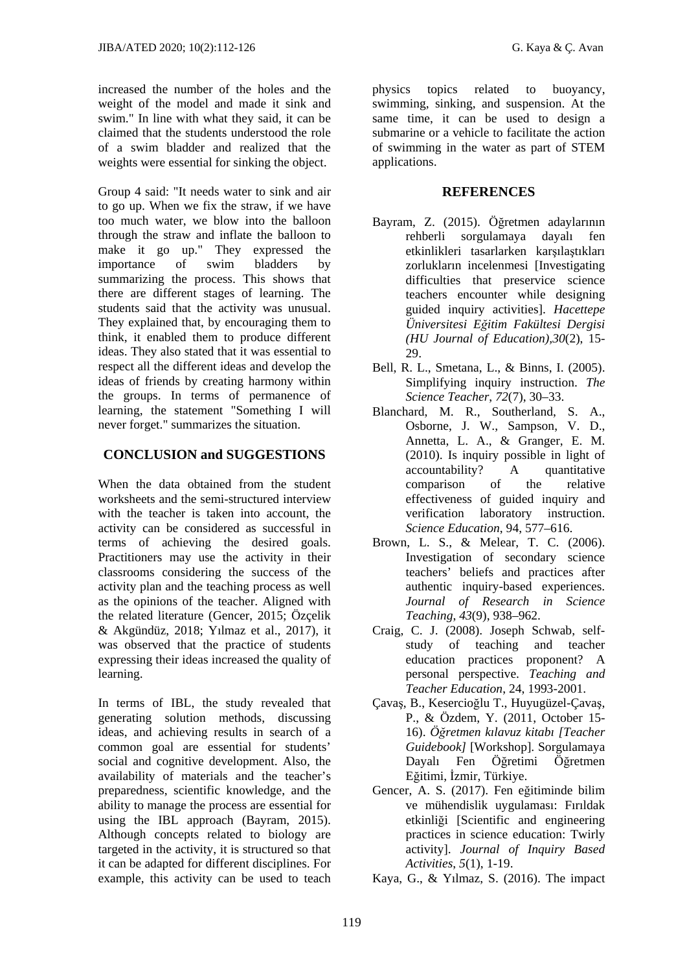increased the number of the holes and the weight of the model and made it sink and swim." In line with what they said, it can be claimed that the students understood the role of a swim bladder and realized that the weights were essential for sinking the object.

Group 4 said: "It needs water to sink and air to go up. When we fix the straw, if we have too much water, we blow into the balloon through the straw and inflate the balloon to make it go up." They expressed the importance of swim bladders by summarizing the process. This shows that there are different stages of learning. The students said that the activity was unusual. They explained that, by encouraging them to think, it enabled them to produce different ideas. They also stated that it was essential to respect all the different ideas and develop the ideas of friends by creating harmony within the groups. In terms of permanence of learning, the statement "Something I will never forget." summarizes the situation.

## **CONCLUSION and SUGGESTIONS**

When the data obtained from the student worksheets and the semi-structured interview with the teacher is taken into account, the activity can be considered as successful in terms of achieving the desired goals. Practitioners may use the activity in their classrooms considering the success of the activity plan and the teaching process as well as the opinions of the teacher. Aligned with the related literature (Gencer, 2015; Özçelik & Akgündüz, 2018; Yılmaz et al., 2017), it was observed that the practice of students expressing their ideas increased the quality of learning.

In terms of IBL, the study revealed that generating solution methods, discussing ideas, and achieving results in search of a common goal are essential for students' social and cognitive development. Also, the availability of materials and the teacher's preparedness, scientific knowledge, and the ability to manage the process are essential for using the IBL approach (Bayram, 2015). Although concepts related to biology are targeted in the activity, it is structured so that it can be adapted for different disciplines. For example, this activity can be used to teach

physics topics related to buoyancy, swimming, sinking, and suspension. At the same time, it can be used to design a submarine or a vehicle to facilitate the action of swimming in the water as part of STEM applications.

## **REFERENCES**

- Bayram, Z. (2015). Öğretmen adaylarının rehberli sorgulamaya dayalı fen etkinlikleri tasarlarken karşılaştıkları zorlukların incelenmesi [Investigating difficulties that preservice science teachers encounter while designing guided inquiry activities]. *Hacettepe Üniversitesi Eğitim Fakültesi Dergisi (HU Journal of Education),30*(2), 15- 29.
- Bell, R. L., Smetana, L., & Binns, I. (2005). Simplifying inquiry instruction. *The Science Teacher*, *72*(7), 30–33.
- Blanchard, M. R., Southerland, S. A., Osborne, J. W., Sampson, V. D., Annetta, L. A., & Granger, E. M. (2010). Is inquiry possible in light of accountability? A quantitative comparison of the relative effectiveness of guided inquiry and verification laboratory instruction. *Science Education*, 94, 577–616.
- Brown, L. S., & Melear, T. C. (2006). Investigation of secondary science teachers' beliefs and practices after authentic inquiry-based experiences. *Journal of Research in Science Teaching*, *43*(9), 938–962.
- Craig, C. J. (2008). Joseph Schwab, selfstudy of teaching and teacher education practices proponent? A personal perspective. *Teaching and Teacher Education*, 24, 1993-2001.
- Çavaş, B., Kesercioğlu T., Huyugüzel-Çavaş, P., & Özdem, Y. (2011, October 15- 16). *Öğretmen kılavuz kitabı [Teacher Guidebook]* [Workshop]. Sorgulamaya Dayalı Fen Öğretimi Öğretmen Eğitimi, İzmir, Türkiye.
- Gencer, A. S. (2017). Fen eğitiminde bilim ve mühendislik uygulaması: Fırıldak etkinliği [Scientific and engineering practices in science education: Twirly activity]. *Journal of Inquiry Based Activities*, *5*(1), 1-19.
- Kaya, G., & Yılmaz, S. (2016). The impact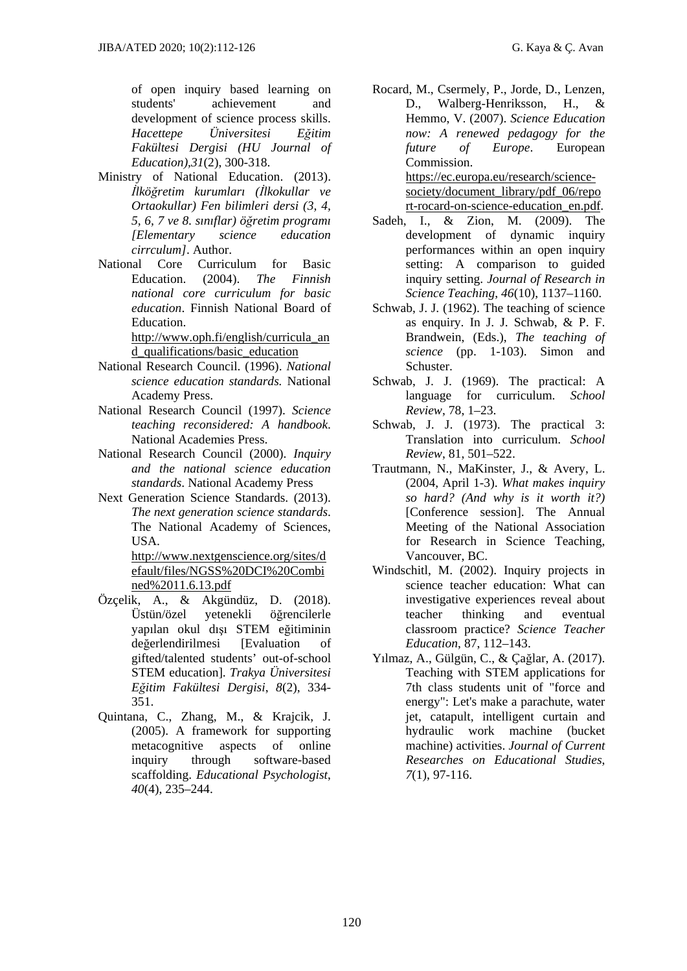of open inquiry based learning on students' achievement and development of science process skills. *Hacettepe Üniversitesi Eğitim Fakültesi Dergisi (HU Journal of Education),31*(2), 300-318.

- Ministry of National Education. (2013). *İlköğretim kurumları (İlkokullar ve Ortaokullar) Fen bilimleri dersi (3, 4, 5, 6, 7 ve 8. sınıflar) öğretim programı [Elementary science education cirrculum]*. Author.
- National Core Curriculum for Basic Education. (2004). *The Finnish national core curriculum for basic education*. Finnish National Board of Education.

http://www.oph.fi/english/curricula\_an d\_qualifications/basic\_education

- National Research Council. (1996). *National science education standards.* National Academy Press.
- National Research Council (1997). *Science teaching reconsidered: A handbook*. National Academies Press.
- National Research Council (2000). *Inquiry and the national science education standards*. National Academy Press
- Next Generation Science Standards. (2013). *The next generation science standards*. The National Academy of Sciences, **USA**

http://www.nextgenscience.org/sites/d efault/files/NGSS%20DCI%20Combi ned%2011.6.13.pdf

- Özçelik, A., & Akgündüz, D. (2018). Üstün/özel yetenekli öğrencilerle yapılan okul dışı STEM eğitiminin değerlendirilmesi [Evaluation of gifted/talented students' out-of-school STEM education]. *Trakya Üniversitesi Eğitim Fakültesi Dergisi*, *8*(2), 334- 351.
- Quintana, C., Zhang, M., & Krajcik, J. (2005). A framework for supporting metacognitive aspects of online inquiry through software-based scaffolding. *Educational Psychologist*, *40*(4), 235–244.

Rocard, M., Csermely, P., Jorde, D., Lenzen, D., Walberg-Henriksson, H., & Hemmo, V. (2007). *Science Education now: A renewed pedagogy for the future of Europe*. European Commission.

> https://ec.europa.eu/research/sciencesociety/document\_library/pdf\_06/repo rt-rocard-on-science-education\_en.pdf.

- Sadeh, I., & Zion, M. (2009). The development of dynamic inquiry performances within an open inquiry setting: A comparison to guided inquiry setting. *Journal of Research in Science Teaching*, *46*(10), 1137–1160.
- Schwab, J. J. (1962). The teaching of science as enquiry. In J. J. Schwab, & P. F. Brandwein, (Eds.), *The teaching of science* (pp. 1-103). Simon and Schuster.
- Schwab, J. J. (1969). The practical: A language for curriculum. *School Review*, 78, 1–23.
- Schwab, J. J. (1973). The practical 3: Translation into curriculum. *School Review*, 81, 501–522.
- Trautmann, N., MaKinster, J., & Avery, L. (2004, April 1-3). *What makes inquiry so hard? (And why is it worth it?)*  [Conference session]. The Annual Meeting of the National Association for Research in Science Teaching, Vancouver, BC.
- Windschitl, M. (2002). Inquiry projects in science teacher education: What can investigative experiences reveal about teacher thinking and eventual classroom practice? *Science Teacher Education*, 87, 112–143.
- Yılmaz, A., Gülgün, C., & Çağlar, A. (2017). Teaching with STEM applications for 7th class students unit of "force and energy": Let's make a parachute, water jet, catapult, intelligent curtain and hydraulic work machine (bucket machine) activities. *Journal of Current Researches on Educational Studies*, *7*(1), 97-116.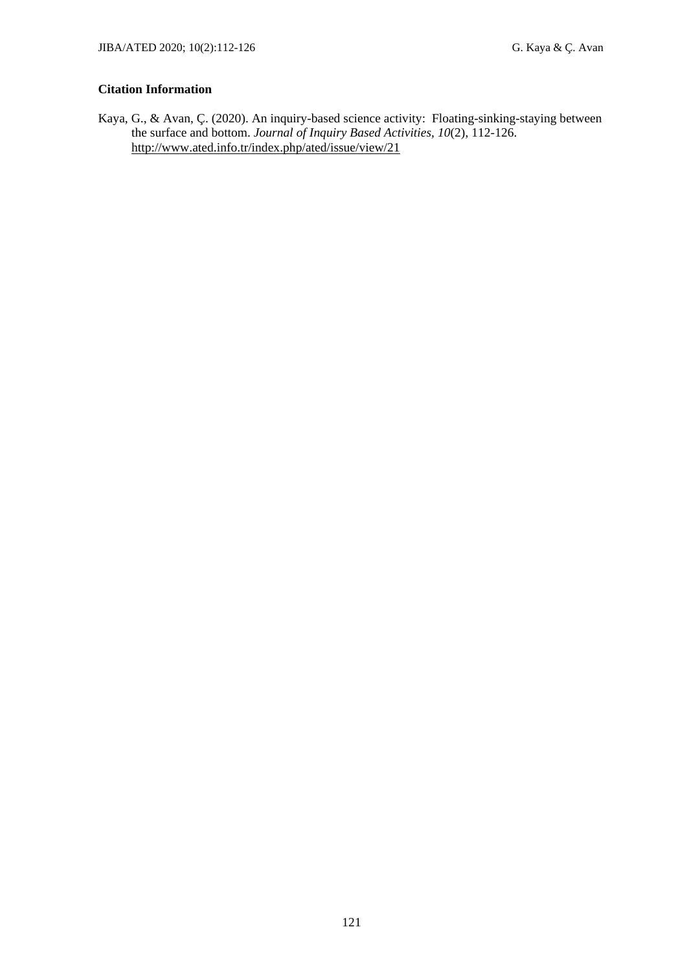#### **Citation Information**

Kaya, G., & Avan, Ç. (2020). An inquiry-based science activity: Floating-sinking-staying between the surface and bottom. *Journal of Inquiry Based Activities, 10*(2), 112-126. http://www.ated.info.tr/index.php/ated/issue/view/21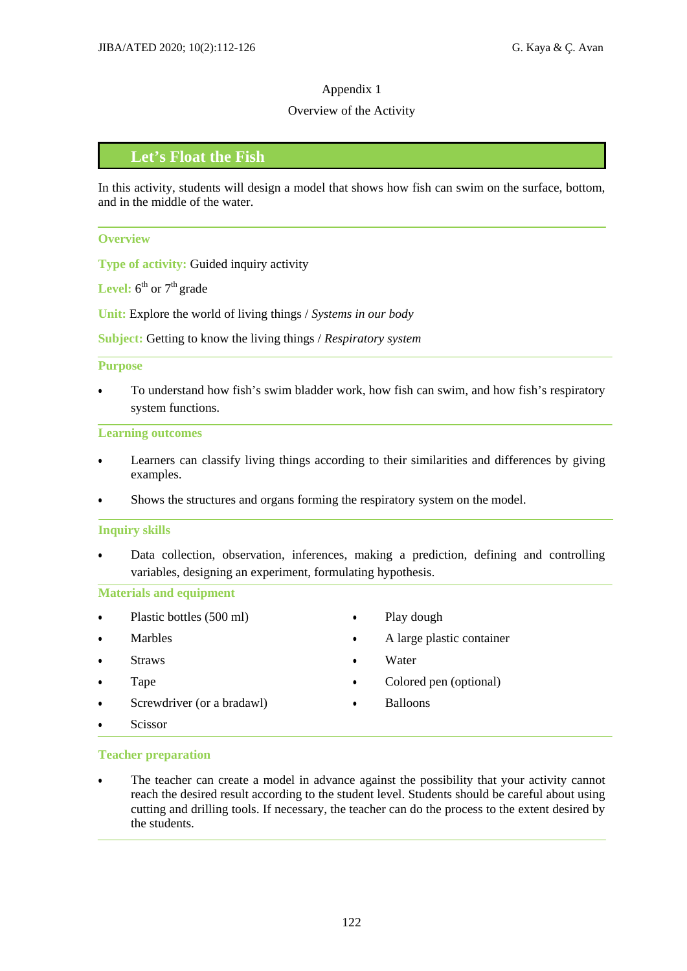#### Overview of the Activity

## **Let's Float the Fish**

In this activity, students will design a model that shows how fish can swim on the surface, bottom, and in the middle of the water.

#### **Overview**

**Type of activity:** Guided inquiry activity

**Level:**  $6^{th}$  or  $7^{th}$  grade

**Unit:** Explore the world of living things / *Systems in our body* 

**Subject:** Getting to know the living things / *Respiratory system* 

#### **Purpose**

 To understand how fish's swim bladder work, how fish can swim, and how fish's respiratory system functions.

#### **Learning outcomes**

- Learners can classify living things according to their similarities and differences by giving examples.
- Shows the structures and organs forming the respiratory system on the model.

#### **Inquiry skills**

 Data collection, observation, inferences, making a prediction, defining and controlling variables, designing an experiment, formulating hypothesis.

#### **Materials and equipment**

- Plastic bottles (500 ml)
- Marbles
- **Straws**
- Tape
- Screwdriver (or a bradawl)
- Scissor
- Play dough
- A large plastic container
- Water
- Colored pen (optional)
- Balloons

#### **Teacher preparation**

 The teacher can create a model in advance against the possibility that your activity cannot reach the desired result according to the student level. Students should be careful about using cutting and drilling tools. If necessary, the teacher can do the process to the extent desired by the students.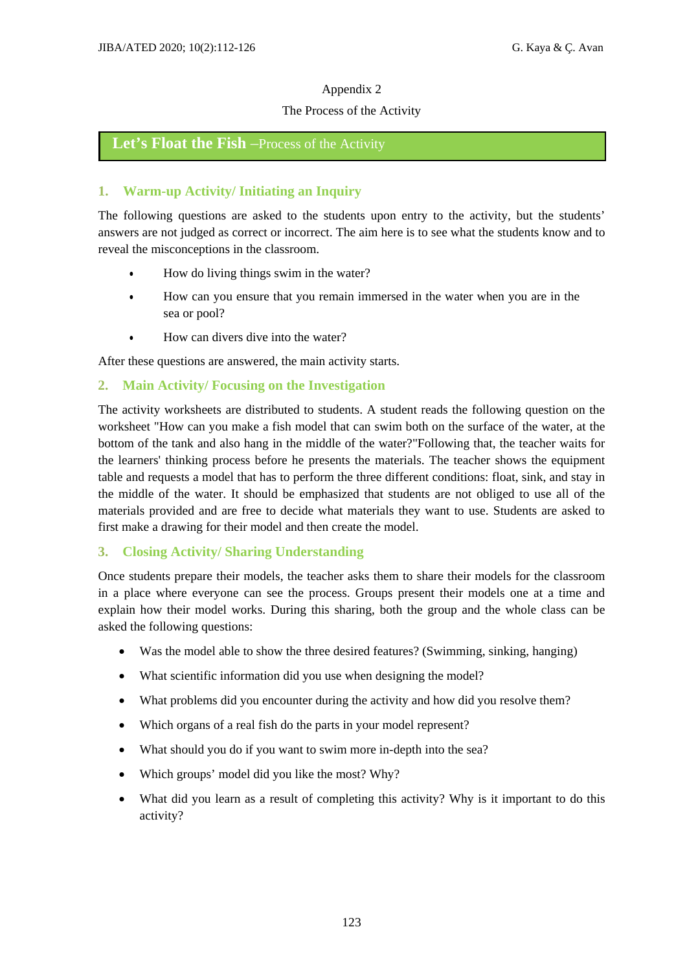#### The Process of the Activity

## Let's Float the Fish –Process of the Activity

## **1. Warm-up Activity/ Initiating an Inquiry**

The following questions are asked to the students upon entry to the activity, but the students' answers are not judged as correct or incorrect. The aim here is to see what the students know and to reveal the misconceptions in the classroom.

- How do living things swim in the water?
- How can you ensure that you remain immersed in the water when you are in the sea or pool?
- How can divers dive into the water?

After these questions are answered, the main activity starts.

#### **2. Main Activity/ Focusing on the Investigation**

The activity worksheets are distributed to students. A student reads the following question on the worksheet "How can you make a fish model that can swim both on the surface of the water, at the bottom of the tank and also hang in the middle of the water?"Following that, the teacher waits for the learners' thinking process before he presents the materials. The teacher shows the equipment table and requests a model that has to perform the three different conditions: float, sink, and stay in the middle of the water. It should be emphasized that students are not obliged to use all of the materials provided and are free to decide what materials they want to use. Students are asked to first make a drawing for their model and then create the model.

#### **3. Closing Activity/ Sharing Understanding**

Once students prepare their models, the teacher asks them to share their models for the classroom in a place where everyone can see the process. Groups present their models one at a time and explain how their model works. During this sharing, both the group and the whole class can be asked the following questions:

- Was the model able to show the three desired features? (Swimming, sinking, hanging)
- What scientific information did you use when designing the model?
- What problems did you encounter during the activity and how did you resolve them?
- Which organs of a real fish do the parts in your model represent?
- What should you do if you want to swim more in-depth into the sea?
- Which groups' model did you like the most? Why?
- What did you learn as a result of completing this activity? Why is it important to do this activity?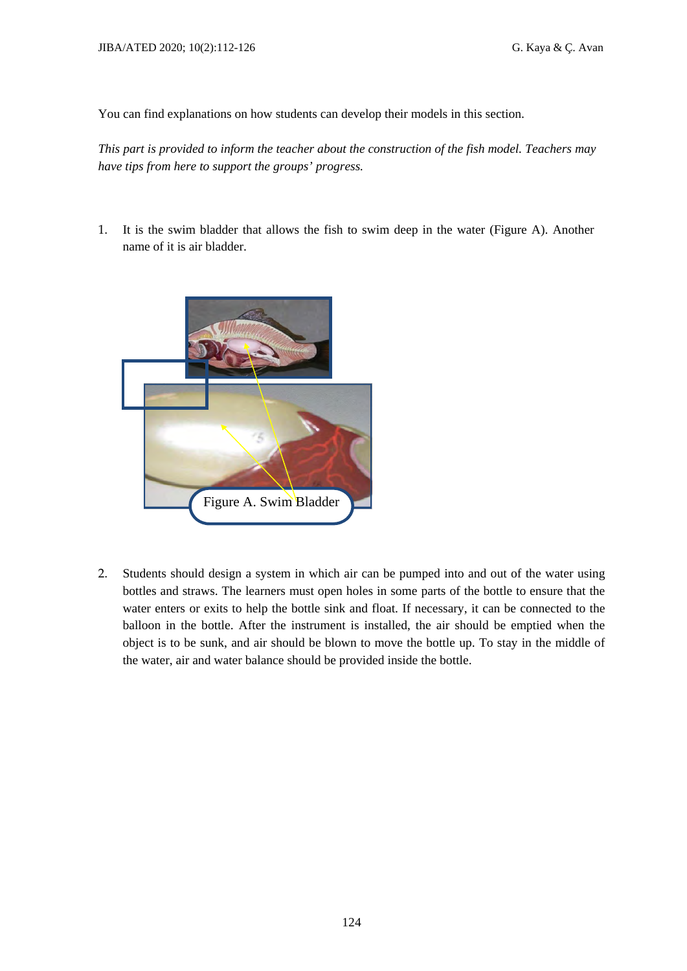You can find explanations on how students can develop their models in this section.

*This part is provided to inform the teacher about the construction of the fish model. Teachers may have tips from here to support the groups' progress.* 

1. It is the swim bladder that allows the fish to swim deep in the water (Figure A). Another name of it is air bladder.



2. Students should design a system in which air can be pumped into and out of the water using bottles and straws. The learners must open holes in some parts of the bottle to ensure that the water enters or exits to help the bottle sink and float. If necessary, it can be connected to the balloon in the bottle. After the instrument is installed, the air should be emptied when the object is to be sunk, and air should be blown to move the bottle up. To stay in the middle of the water, air and water balance should be provided inside the bottle.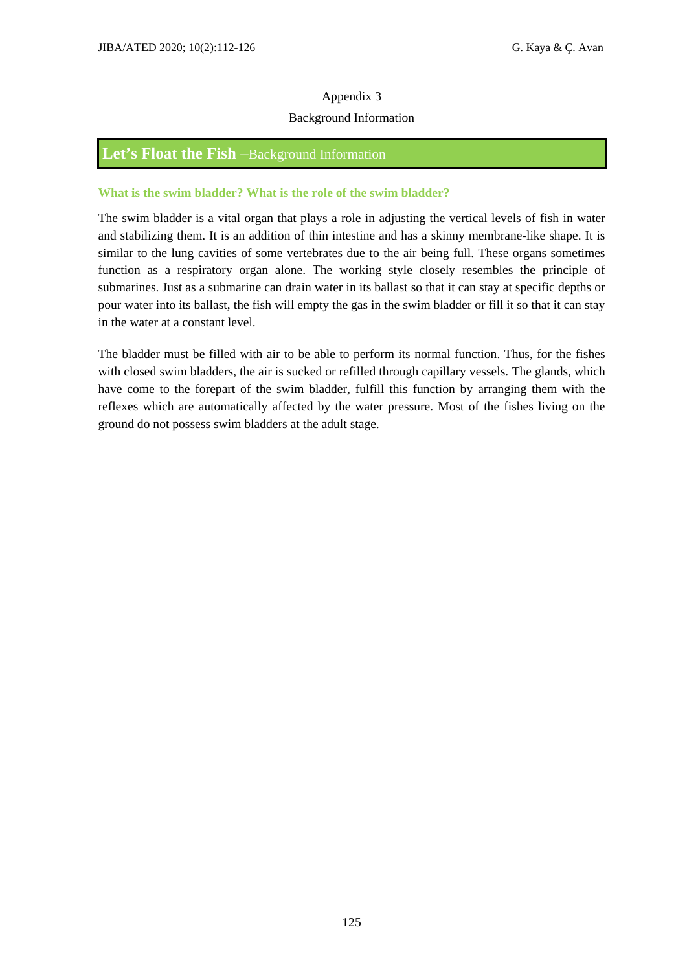#### Background Information

# **Let's Float the Fish** –Background Information

#### **What is the swim bladder? What is the role of the swim bladder?**

The swim bladder is a vital organ that plays a role in adjusting the vertical levels of fish in water and stabilizing them. It is an addition of thin intestine and has a skinny membrane-like shape. It is similar to the lung cavities of some vertebrates due to the air being full. These organs sometimes function as a respiratory organ alone. The working style closely resembles the principle of submarines. Just as a submarine can drain water in its ballast so that it can stay at specific depths or pour water into its ballast, the fish will empty the gas in the swim bladder or fill it so that it can stay in the water at a constant level.

The bladder must be filled with air to be able to perform its normal function. Thus, for the fishes with closed swim bladders, the air is sucked or refilled through capillary vessels. The glands, which have come to the forepart of the swim bladder, fulfill this function by arranging them with the reflexes which are automatically affected by the water pressure. Most of the fishes living on the ground do not possess swim bladders at the adult stage.